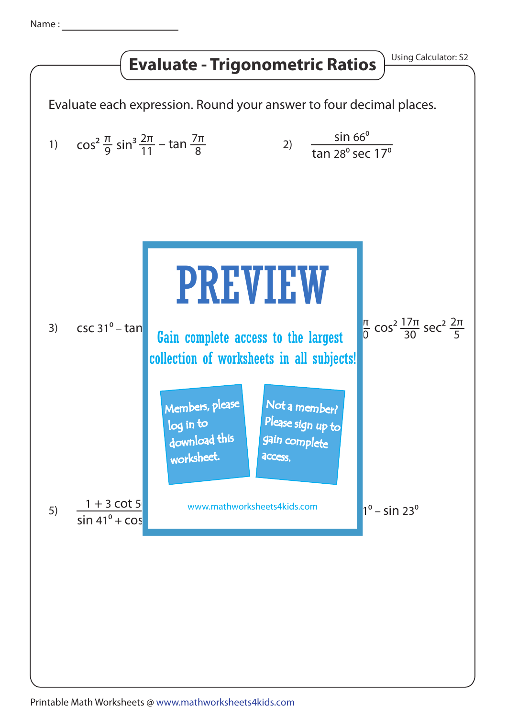